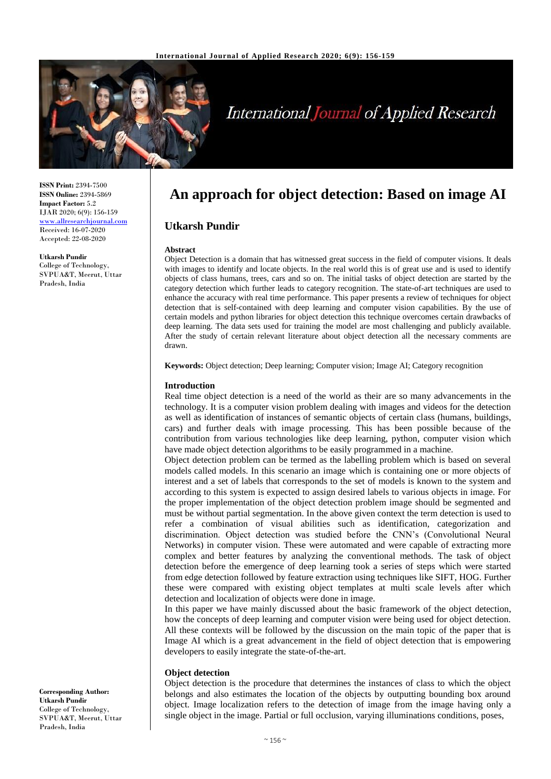

# **International Journal of Applied Research**

**ISSN Print:** 2394-7500 **ISSN Online:** 2394-5869 **Impact Factor:** 5.2 IJAR 2020; 6(9): 156-159 <www.allresearchjournal.com> Received: 16-07-2020 Accepted: 22-08-2020

**Utkarsh Pundir** College of Technology, SVPUA&T, Meerut, Uttar Pradesh, India

**An approach for object detection: Based on image AI**

# **Utkarsh Pundir**

#### **Abstract**

Object Detection is a domain that has witnessed great success in the field of computer visions. It deals with images to identify and locate objects. In the real world this is of great use and is used to identify objects of class humans, trees, cars and so on. The initial tasks of object detection are started by the category detection which further leads to category recognition. The state-of-art techniques are used to enhance the accuracy with real time performance. This paper presents a review of techniques for object detection that is self-contained with deep learning and computer vision capabilities. By the use of certain models and python libraries for object detection this technique overcomes certain drawbacks of deep learning. The data sets used for training the model are most challenging and publicly available. After the study of certain relevant literature about object detection all the necessary comments are drawn.

**Keywords:** Object detection; Deep learning; Computer vision; Image AI; Category recognition

# **Introduction**

Real time object detection is a need of the world as their are so many advancements in the technology. It is a computer vision problem dealing with images and videos for the detection as well as identification of instances of semantic objects of certain class (humans, buildings, cars) and further deals with image processing. This has been possible because of the contribution from various technologies like deep learning, python, computer vision which have made object detection algorithms to be easily programmed in a machine.

Object detection problem can be termed as the labelling problem which is based on several models called models. In this scenario an image which is containing one or more objects of interest and a set of labels that corresponds to the set of models is known to the system and according to this system is expected to assign desired labels to various objects in image. For the proper implementation of the object detection problem image should be segmented and must be without partial segmentation. In the above given context the term detection is used to refer a combination of visual abilities such as identification, categorization and discrimination. Object detection was studied before the CNN's (Convolutional Neural Networks) in computer vision. These were automated and were capable of extracting more complex and better features by analyzing the conventional methods. The task of object detection before the emergence of deep learning took a series of steps which were started from edge detection followed by feature extraction using techniques like SIFT, HOG. Further these were compared with existing object templates at multi scale levels after which detection and localization of objects were done in image.

In this paper we have mainly discussed about the basic framework of the object detection, how the concepts of deep learning and computer vision were being used for object detection. All these contexts will be followed by the discussion on the main topic of the paper that is Image AI which is a great advancement in the field of object detection that is empowering developers to easily integrate the state-of-the-art.

### **Object detection**

Object detection is the procedure that determines the instances of class to which the object belongs and also estimates the location of the objects by outputting bounding box around object. Image localization refers to the detection of image from the image having only a single object in the image. Partial or full occlusion, varying illuminations conditions, poses,

**Corresponding Author: Utkarsh Pundir** College of Technology, SVPUA&T, Meerut, Uttar Pradesh, India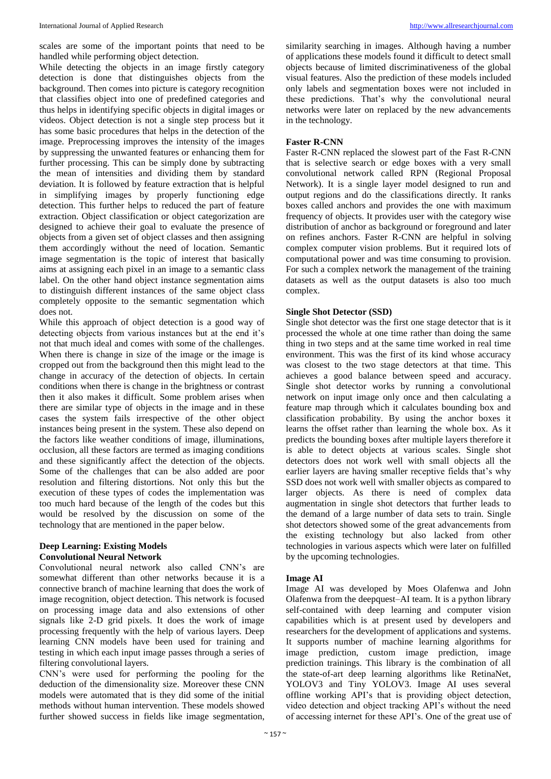scales are some of the important points that need to be handled while performing object detection.

While detecting the objects in an image firstly category detection is done that distinguishes objects from the background. Then comes into picture is category recognition that classifies object into one of predefined categories and thus helps in identifying specific objects in digital images or videos. Object detection is not a single step process but it has some basic procedures that helps in the detection of the image. Preprocessing improves the intensity of the images by suppressing the unwanted features or enhancing them for further processing. This can be simply done by subtracting the mean of intensities and dividing them by standard deviation. It is followed by feature extraction that is helpful in simplifying images by properly functioning edge detection. This further helps to reduced the part of feature extraction. Object classification or object categorization are designed to achieve their goal to evaluate the presence of objects from a given set of object classes and then assigning them accordingly without the need of location. Semantic image segmentation is the topic of interest that basically aims at assigning each pixel in an image to a semantic class label. On the other hand object instance segmentation aims to distinguish different instances of the same object class completely opposite to the semantic segmentation which does not.

While this approach of object detection is a good way of detecting objects from various instances but at the end it's not that much ideal and comes with some of the challenges. When there is change in size of the image or the image is cropped out from the background then this might lead to the change in accuracy of the detection of objects. In certain conditions when there is change in the brightness or contrast then it also makes it difficult. Some problem arises when there are similar type of objects in the image and in these cases the system fails irrespective of the other object instances being present in the system. These also depend on the factors like weather conditions of image, illuminations, occlusion, all these factors are termed as imaging conditions and these significantly affect the detection of the objects. Some of the challenges that can be also added are poor resolution and filtering distortions. Not only this but the execution of these types of codes the implementation was too much hard because of the length of the codes but this would be resolved by the discussion on some of the technology that are mentioned in the paper below.

# **Deep Learning: Existing Models Convolutional Neural Network**

Convolutional neural network also called CNN's are somewhat different than other networks because it is a connective branch of machine learning that does the work of image recognition, object detection. This network is focused on processing image data and also extensions of other signals like 2-D grid pixels. It does the work of image processing frequently with the help of various layers. Deep learning CNN models have been used for training and testing in which each input image passes through a series of filtering convolutional layers.

CNN's were used for performing the pooling for the deduction of the dimensionality size. Moreover these CNN models were automated that is they did some of the initial methods without human intervention. These models showed further showed success in fields like image segmentation,

similarity searching in images. Although having a number of applications these models found it difficult to detect small objects because of limited discriminativeness of the global visual features. Also the prediction of these models included only labels and segmentation boxes were not included in these predictions. That's why the convolutional neural networks were later on replaced by the new advancements in the technology.

### **Faster R-CNN**

Faster R-CNN replaced the slowest part of the Fast R-CNN that is selective search or edge boxes with a very small convolutional network called RPN (Regional Proposal Network). It is a single layer model designed to run and output regions and do the classifications directly. It ranks boxes called anchors and provides the one with maximum frequency of objects. It provides user with the category wise distribution of anchor as background or foreground and later on refines anchors. Faster R-CNN are helpful in solving complex computer vision problems. But it required lots of computational power and was time consuming to provision. For such a complex network the management of the training datasets as well as the output datasets is also too much complex.

### **Single Shot Detector (SSD)**

Single shot detector was the first one stage detector that is it processed the whole at one time rather than doing the same thing in two steps and at the same time worked in real time environment. This was the first of its kind whose accuracy was closest to the two stage detectors at that time. This achieves a good balance between speed and accuracy. Single shot detector works by running a convolutional network on input image only once and then calculating a feature map through which it calculates bounding box and classification probability. By using the anchor boxes it learns the offset rather than learning the whole box. As it predicts the bounding boxes after multiple layers therefore it is able to detect objects at various scales. Single shot detectors does not work well with small objects all the earlier layers are having smaller receptive fields that's why SSD does not work well with smaller objects as compared to larger objects. As there is need of complex data augmentation in single shot detectors that further leads to the demand of a large number of data sets to train. Single shot detectors showed some of the great advancements from the existing technology but also lacked from other technologies in various aspects which were later on fulfilled by the upcoming technologies.

### **Image AI**

Image AI was developed by Moes Olafenwa and John Olafenwa from the deepquest–AI team. It is a python library self-contained with deep learning and computer vision capabilities which is at present used by developers and researchers for the development of applications and systems. It supports number of machine learning algorithms for image prediction, custom image prediction, image prediction trainings. This library is the combination of all the state-of-art deep learning algorithms like RetinaNet, YOLOV3 and Tiny YOLOV3. Image AI uses several offline working API's that is providing object detection, video detection and object tracking API's without the need of accessing internet for these API's. One of the great use of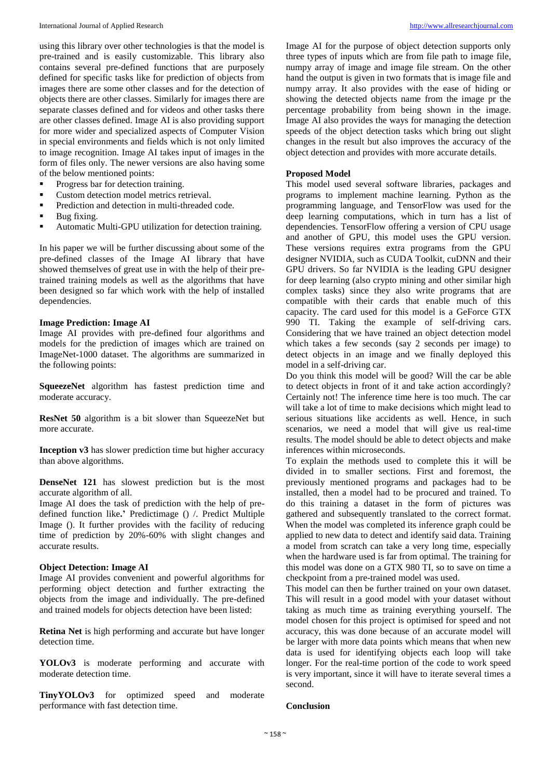using this library over other technologies is that the model is pre-trained and is easily customizable. This library also contains several pre-defined functions that are purposely defined for specific tasks like for prediction of objects from images there are some other classes and for the detection of objects there are other classes. Similarly for images there are separate classes defined and for videos and other tasks there are other classes defined. Image AI is also providing support for more wider and specialized aspects of Computer Vision in special environments and fields which is not only limited to image recognition. Image AI takes input of images in the form of files only. The newer versions are also having some of the below mentioned points:

- Progress bar for detection training.
- Custom detection model metrics retrieval.
- **Prediction and detection in multi-threaded code.**
- Bug fixing.
- Automatic Multi-GPU utilization for detection training.

In his paper we will be further discussing about some of the pre-defined classes of the Image AI library that have showed themselves of great use in with the help of their pretrained training models as well as the algorithms that have been designed so far which work with the help of installed dependencies.

# **Image Prediction: Image AI**

Image AI provides with pre-defined four algorithms and models for the prediction of images which are trained on ImageNet-1000 dataset. The algorithms are summarized in the following points:

**SqueezeNet** algorithm has fastest prediction time and moderate accuracy.

**ResNet 50** algorithm is a bit slower than SqueezeNet but more accurate.

**Inception v3** has slower prediction time but higher accuracy than above algorithms.

**DenseNet 121** has slowest prediction but is the most accurate algorithm of all.

Image AI does the task of prediction with the help of predefined function like**.'** Predictimage () /. Predict Multiple Image (). It further provides with the facility of reducing time of prediction by 20%-60% with slight changes and accurate results.

#### **Object Detection: Image AI**

Image AI provides convenient and powerful algorithms for performing object detection and further extracting the objects from the image and individually. The pre-defined and trained models for objects detection have been listed:

**Retina Net** is high performing and accurate but have longer detection time.

**YOLOv3** is moderate performing and accurate with moderate detection time.

**TinyYOLOv3** for optimized speed and moderate performance with fast detection time.

Image AI for the purpose of object detection supports only three types of inputs which are from file path to image file, numpy array of image and image file stream. On the other hand the output is given in two formats that is image file and numpy array. It also provides with the ease of hiding or showing the detected objects name from the image pr the percentage probability from being shown in the image. Image AI also provides the ways for managing the detection speeds of the object detection tasks which bring out slight changes in the result but also improves the accuracy of the object detection and provides with more accurate details.

#### **Proposed Model**

This model used several software libraries, packages and programs to implement machine learning. Python as the programming language, and TensorFlow was used for the deep learning computations, which in turn has a list of dependencies. TensorFlow offering a version of CPU usage and another of GPU, this model uses the GPU version. These versions requires extra programs from the GPU designer NVIDIA, such as CUDA Toolkit, cuDNN and their GPU drivers. So far NVIDIA is the leading GPU designer for deep learning (also crypto mining and other similar high complex tasks) since they also write programs that are compatible with their cards that enable much of this capacity. The card used for this model is a GeForce GTX 990 TI. Taking the example of self-driving cars. Considering that we have trained an object detection model which takes a few seconds (say 2 seconds per image) to detect objects in an image and we finally deployed this model in a self-driving car.

Do you think this model will be good? Will the car be able to detect objects in front of it and take action accordingly? Certainly not! The inference time here is too much. The car will take a lot of time to make decisions which might lead to serious situations like accidents as well. Hence, in such scenarios, we need a model that will give us real-time results. The model should be able to detect objects and make inferences within microseconds.

To explain the methods used to complete this it will be divided in to smaller sections. First and foremost, the previously mentioned programs and packages had to be installed, then a model had to be procured and trained. To do this training a dataset in the form of pictures was gathered and subsequently translated to the correct format. When the model was completed its inference graph could be applied to new data to detect and identify said data. Training a model from scratch can take a very long time, especially when the hardware used is far from optimal. The training for this model was done on a GTX 980 TI, so to save on time a checkpoint from a pre-trained model was used.

This model can then be further trained on your own dataset. This will result in a good model with your dataset without taking as much time as training everything yourself. The model chosen for this project is optimised for speed and not accuracy, this was done because of an accurate model will be larger with more data points which means that when new data is used for identifying objects each loop will take longer. For the real-time portion of the code to work speed is very important, since it will have to iterate several times a second.

#### **Conclusion**